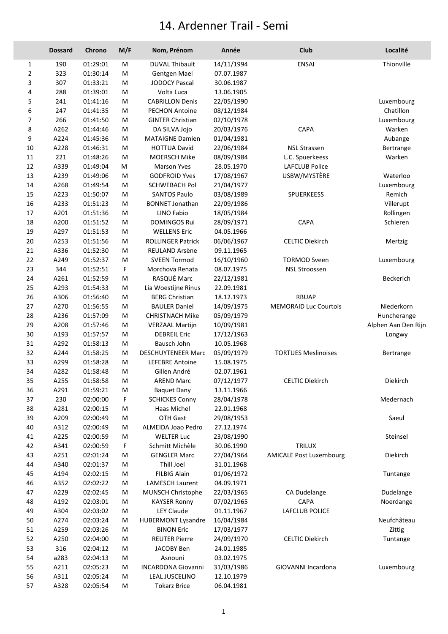## 14. Ardenner Trail - Semi

|                | <b>Dossard</b> | Chrono   | M/F | Nom, Prénom               | Année                    | Club                           | Localité            |
|----------------|----------------|----------|-----|---------------------------|--------------------------|--------------------------------|---------------------|
| 1              | 190            | 01:29:01 | M   | <b>DUVAL Thibault</b>     | 14/11/1994               | <b>ENSAI</b>                   | Thionville          |
| $\overline{2}$ | 323            | 01:30:14 | M   | Gentgen Mael              | 07.07.1987               |                                |                     |
| 3              | 307            | 01:33:21 | M   | <b>JODOCY Pascal</b>      | 30.06.1987               |                                |                     |
| 4              | 288            | 01:39:01 | M   | Volta Luca                | 13.06.1905               |                                |                     |
| 5              | 241            | 01:41:16 | M   | <b>CABRILLON Denis</b>    | 22/05/1990               |                                | Luxembourg          |
| 6              | 247            | 01:41:35 | M   | <b>PECHON Antoine</b>     | 08/12/1984               |                                | Chatillon           |
| 7              | 266            | 01:41:50 | M   | <b>GINTER Christian</b>   | 02/10/1978               |                                | Luxembourg          |
| 8              | A262           | 01:44:46 | M   | DA SILVA Jojo             | 20/03/1976               | CAPA                           | Warken              |
| 9              | A224           | 01:45:36 | M   | <b>MATAIGNE Damien</b>    | 01/04/1981               |                                | Aubange             |
| 10             | A228           | 01:46:31 | M   | <b>HOTTUA David</b>       | 22/06/1984               | <b>NSL Strassen</b>            | Bertrange           |
| 11             | 221            | 01:48:26 | М   | <b>MOERSCH Mike</b>       | 08/09/1984               | L.C. Spuerkeess                | Warken              |
| 12             | A339           | 01:49:04 | M   | <b>Marson Yves</b>        | 28.05.1970               | <b>LAFCLUB Police</b>          |                     |
| 13             | A239           | 01:49:06 | М   | <b>GODFROID Yves</b>      | 17/08/1967               | USBW/MYSTÈRE                   | Waterloo            |
| 14             | A268           | 01:49:54 | M   | <b>SCHWEBACH Pol</b>      | 21/04/1977               |                                | Luxembourg          |
| 15             | A223           | 01:50:07 | М   | <b>SANTOS Paulo</b>       | 03/08/1989               | <b>SPUERKEESS</b>              | Remich              |
| 16             | A233           | 01:51:23 | M   | <b>BONNET Jonathan</b>    | 22/09/1986               |                                | Villerupt           |
| 17             | A201           | 01:51:36 | M   | <b>LINO Fabio</b>         | 18/05/1984               |                                | Rollingen           |
| 18             | A200           | 01:51:52 | М   | <b>DOMINGOS Rui</b>       | 28/09/1971               | CAPA                           | Schieren            |
| 19             | A297           | 01:51:53 | М   | <b>WELLENS Eric</b>       | 04.05.1966               |                                |                     |
| 20             | A253           | 01:51:56 | M   | <b>ROLLINGER Patrick</b>  | 06/06/1967               | <b>CELTIC Diekirch</b>         | Mertzig             |
| 21             | A336           | 01:52:30 | M   | <b>REULAND Arsène</b>     | 09.11.1965               |                                |                     |
| 22             | A249           | 01:52:37 | M   | <b>SVEEN Tormod</b>       | 16/10/1960               | <b>TORMOD Sveen</b>            | Luxembourg          |
| 23             | 344            | 01:52:51 | F   | Morchova Renata           | 08.07.1975               | <b>NSL Stroossen</b>           |                     |
| 24             | A261           | 01:52:59 | M   | RASQUÉ Marc               | 22/12/1981               |                                | Beckerich           |
| 25             | A293           | 01:54:33 | M   | Lia Woestijne Rinus       | 22.09.1981               |                                |                     |
| 26             | A306           | 01:56:40 | M   | <b>BERG Christian</b>     | 18.12.1973               | <b>RBUAP</b>                   |                     |
|                | A270           | 01:56:55 |     | <b>BAULER Daniel</b>      |                          | <b>MEMORAID Luc Courtois</b>   | Niederkorn          |
| 27             | A236           | 01:57:09 | М   |                           | 14/09/1975<br>05/09/1979 |                                |                     |
| 28             | A208           | 01:57:46 | M   | <b>CHRISTNACH Mike</b>    |                          |                                | Huncherange         |
| 29             |                |          | M   | <b>VERZAAL Martijn</b>    | 10/09/1981               |                                | Alphen Aan Den Rijn |
| 30             | A193           | 01:57:57 | M   | <b>DEBREIL Eric</b>       | 17/12/1963               |                                | Longwy              |
| 31             | A292           | 01:58:13 | м   | Bausch John               | 10.05.1968               |                                |                     |
| 32             | A244           | 01:58:25 | M   | <b>DESCHUYTENEER Marc</b> | 05/09/1979               | <b>TORTUES Meslinoises</b>     | Bertrange           |
| 33             | A299           | 01:58:28 | M   | <b>LEFEBRE Antoine</b>    | 15.08.1975               |                                |                     |
| 34             | A282           | 01:58:48 | M   | Gillen André              | 02.07.1961               |                                |                     |
| 35             | A255           | 01:58:58 | M   | <b>AREND Marc</b>         | 07/12/1977               | <b>CELTIC Diekirch</b>         | Diekirch            |
| 36             | A291           | 01:59:21 | М   | <b>Baquet Dany</b>        | 13.11.1966               |                                |                     |
| 37             | 230            | 02:00:00 | F   | <b>SCHICKES Conny</b>     | 28/04/1978               |                                | Medernach           |
| 38             | A281           | 02:00:15 | M   | Haas Michel               | 22.01.1968               |                                |                     |
| 39             | A209           | 02:00:49 | M   | OTH Gast                  | 29/08/1953               |                                | Saeul               |
| 40             | A312           | 02:00:49 | M   | ALMEIDA Joao Pedro        | 27.12.1974               |                                |                     |
| 41             | A225           | 02:00:59 | M   | <b>WELTER Luc</b>         | 23/08/1990               |                                | Steinsel            |
| 42             | A341           | 02:00:59 | F   | Schmitt Michèle           | 30.06.1990               | TRILUX                         |                     |
| 43             | A251           | 02:01:24 | M   | <b>GENGLER Marc</b>       | 27/04/1964               | <b>AMICALE Post Luxembourg</b> | Diekirch            |
| 44             | A340           | 02:01:37 | М   | Thill Joel                | 31.01.1968               |                                |                     |
| 45             | A194           | 02:02:15 | M   | <b>FILBIG Alain</b>       | 01/06/1972               |                                | Tuntange            |
| 46             | A352           | 02:02:22 | M   | <b>LAMESCH Laurent</b>    | 04.09.1971               |                                |                     |
| 47             | A229           | 02:02:45 | M   | MUNSCH Christophe         | 22/03/1965               | CA Dudelange                   | Dudelange           |
| 48             | A192           | 02:03:01 | M   | <b>KAYSER Ronny</b>       | 07/02/1965               | <b>CAPA</b>                    | Noerdange           |
| 49             | A304           | 02:03:02 | M   | <b>LEY Claude</b>         | 01.11.1967               | LAFCLUB POLICE                 |                     |
| 50             | A274           | 02:03:24 | M   | <b>HUBERMONT Lysandre</b> | 16/04/1984               |                                | Neufchâteau         |
| 51             | A259           | 02:03:26 | M   | <b>BINON Eric</b>         | 17/03/1977               |                                | Zittig              |
| 52             | A250           | 02:04:00 | М   | <b>REUTER Pierre</b>      | 24/09/1970               | <b>CELTIC Diekirch</b>         | Tuntange            |
| 53             | 316            | 02:04:12 | M   | JACOBY Ben                | 24.01.1985               |                                |                     |
| 54             | a283           | 02:04:13 | M   | Asnouni                   | 03.02.1975               |                                |                     |
| 55             | A211           | 02:05:23 | M   | <b>INCARDONA Giovanni</b> | 31/03/1986               | GIOVANNI Incardona             | Luxembourg          |
| 56             | A311           | 02:05:24 | M   | LEAL JUSCELINO            | 12.10.1979               |                                |                     |
| 57             | A328           | 02:05:54 | M   | <b>Tokarz Brice</b>       | 06.04.1981               |                                |                     |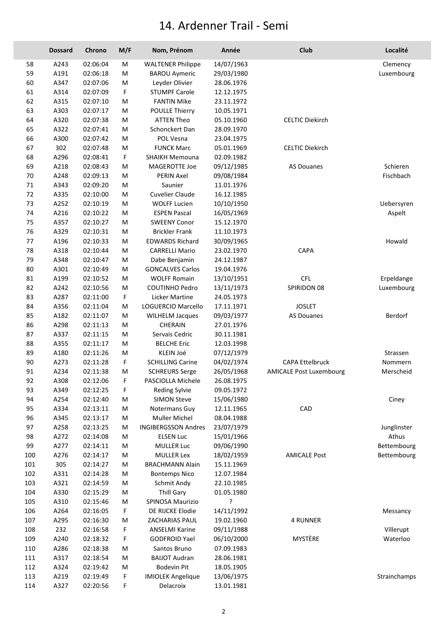## 14. Ardenner Trail - Semi

|     | <b>Dossard</b> | Chrono   | M/F | Nom, Prénom                | Année                    | Club                           | Localité     |
|-----|----------------|----------|-----|----------------------------|--------------------------|--------------------------------|--------------|
| 58  | A243           | 02:06:04 | M   | <b>WALTENER Philippe</b>   | 14/07/1963               |                                | Clemency     |
| 59  | A191           | 02:06:18 | M   | <b>BAROU Aymeric</b>       | 29/03/1980               |                                | Luxembourg   |
| 60  | A347           | 02:07:06 | M   | Leyder Olivier             | 28.06.1976               |                                |              |
| 61  | A314           | 02:07:09 | F   | <b>STUMPF Carole</b>       | 12.12.1975               |                                |              |
| 62  | A315           | 02:07:10 | M   | <b>FANTIN Mike</b>         | 23.11.1972               |                                |              |
| 63  | A303           | 02:07:17 | M   | <b>POULLE Thierry</b>      | 10.05.1971               |                                |              |
| 64  | A320           | 02:07:38 | M   | <b>ATTEN Theo</b>          | 05.10.1960               | <b>CELTIC Diekirch</b>         |              |
| 65  | A322           | 02:07:41 | M   | Schonckert Dan             | 28.09.1970               |                                |              |
| 66  | A300           | 02:07:42 | M   | POL Vesna                  | 23.04.1975               |                                |              |
| 67  | 302            | 02:07:48 | M   | <b>FUNCK Marc</b>          | 05.01.1969               | <b>CELTIC Diekirch</b>         |              |
| 68  | A296           | 02:08:41 | F   | <b>SHAIKH Memouna</b>      | 02.09.1982               |                                |              |
| 69  | A218           | 02:08:43 | M   | MAGEROTTE Joe              | 09/12/1985               | <b>AS Douanes</b>              | Schieren     |
| 70  | A248           | 02:09:13 | M   | <b>PERIN Axel</b>          | 09/08/1984               |                                | Fischbach    |
| 71  | A343           | 02:09:20 | м   | Saunier                    | 11.01.1976               |                                |              |
| 72  | A335           | 02:10:00 | М   | <b>Cuvelier Claude</b>     | 16.12.1985               |                                |              |
| 73  | A252           | 02:10:19 | M   | <b>WOLFF Lucien</b>        | 10/10/1950               |                                | Uebersyren   |
| 74  | A216           | 02:10:22 | м   | <b>ESPEN Pascal</b>        | 16/05/1969               |                                | Aspelt       |
| 75  | A357           | 02:10:27 | M   | <b>SWEENY Conor</b>        | 15.12.1970               |                                |              |
| 76  | A329           | 02:10:31 | M   | <b>Brickler Frank</b>      | 11.10.1973               |                                |              |
| 77  | A196           | 02:10:33 | M   | <b>EDWARDS Richard</b>     | 30/09/1965               |                                | Howald       |
| 78  | A318           | 02:10:44 | M   | <b>CARRELLI Mario</b>      | 23.02.1970               | CAPA                           |              |
| 79  | A348           | 02:10:47 | M   | Dabe Benjamin              | 24.12.1987               |                                |              |
| 80  | A301           | 02:10:49 | M   | <b>GONCALVES Carlos</b>    | 19.04.1976               |                                |              |
| 81  | A199           | 02:10:52 | M   | <b>WOLFF Romain</b>        | 13/10/1951               | <b>CFL</b>                     | Erpeldange   |
| 82  | A242           | 02:10:56 | M   | <b>COUTINHO Pedro</b>      | 13/11/1973               | SPIRIDON 08                    | Luxembourg   |
| 83  | A287           | 02:11:00 | F   | <b>Licker Martine</b>      | 24.05.1973               |                                |              |
| 84  | A356           | 02:11:04 | м   | LOGUERCIO Marcello         | 17.11.1971               | <b>JOSLET</b>                  |              |
| 85  | A182           | 02:11:07 | M   | <b>WILHELM Jacques</b>     | 09/03/1977               | <b>AS Douanes</b>              | Berdorf      |
| 86  | A298           |          |     | <b>CHERAIN</b>             |                          |                                |              |
|     |                | 02:11:13 | м   |                            | 27.01.1976<br>30.11.1981 |                                |              |
| 87  | A337           | 02:11:15 | м   | Servais Cedric             |                          |                                |              |
| 88  | A355           | 02:11:17 | м   | <b>BELCHE Eric</b>         | 12.03.1998               |                                |              |
| 89  | A180           | 02:11:26 | M   | KLEIN Joé                  | 07/12/1979               |                                | Strassen     |
| 90  | A273           | 02:11:28 | F   | <b>SCHILLING Carine</b>    | 04/02/1974               | <b>CAPA Ettelbruck</b>         | Nommern      |
| 91  | A234           | 02:11:38 | M   | <b>SCHREURS Serge</b>      | 26/05/1968               | <b>AMICALE Post Luxembourg</b> | Merscheid    |
| 92  | A308           | 02:12:06 | F   | PASCIOLLA Michele          | 26.08.1975               |                                |              |
| 93  | A349           | 02:12:25 | F   | Reding Sylvie              | 09.05.1972               |                                |              |
| 94  | A254           | 02:12:40 | M   | <b>SIMON Steve</b>         | 15/06/1980               |                                | Ciney        |
| 95  | A334           | 02:13:11 | M   | Notermans Guy              | 12.11.1965               | CAD                            |              |
| 96  | A345           | 02:13:17 | м   | <b>Muller Michel</b>       | 08.04.1988               |                                |              |
| 97  | A258           | 02:13:25 | M   | <b>INGIBERGSSON Andres</b> | 23/07/1979               |                                | Junglinster  |
| 98  | A272           | 02:14:08 | M   | <b>ELSEN Luc</b>           | 15/01/1966               |                                | Athus        |
| 99  | A277           | 02:14:11 | м   | <b>MULLER Luc</b>          | 09/06/1990               |                                | Bettembourg  |
| 100 | A276           | 02:14:17 | M   | <b>MULLER Lex</b>          | 18/02/1959               | <b>AMICALE Post</b>            | Bettembourg  |
| 101 | 305            | 02:14:27 | M   | <b>BRACHMANN Alain</b>     | 15.11.1969               |                                |              |
| 102 | A331           | 02:14:28 | M   | <b>Bontemps Nico</b>       | 12.07.1984               |                                |              |
| 103 | A321           | 02:14:59 | M   | Schmit Andy                | 22.10.1985               |                                |              |
| 104 | A330           | 02:15:29 | M   | <b>Thill Gary</b>          | 01.05.1980               |                                |              |
| 105 | A310           | 02:15:46 | M   | SPINOSA Maurizio           | ?                        |                                |              |
| 106 | A264           | 02:16:05 | F   | DE RIJCKE Elodie           | 14/11/1992               |                                | Messancy     |
| 107 | A295           | 02:16:30 | M   | ZACHARIAS PAUL             | 19.02.1960               | <b>4 RUNNER</b>                |              |
| 108 | 232            | 02:16:58 | F   | <b>ANSELMI Karine</b>      | 09/11/1988               |                                | Villerupt    |
| 109 | A240           | 02:18:32 | F   | <b>GODFROID Yael</b>       | 06/10/2000               | MYSTÈRE                        | Waterloo     |
| 110 | A286           | 02:18:38 | M   | Santos Bruno               | 07.09.1983               |                                |              |
| 111 | A317           | 02:18:54 | M   | <b>BAIJOT Audran</b>       | 28.06.1981               |                                |              |
| 112 | A324           | 02:19:42 | M   | <b>Bodevin Pit</b>         | 18.05.1905               |                                |              |
| 113 | A219           | 02:19:49 | F   | <b>IMIOLEK Angelique</b>   | 13/06/1975               |                                | Strainchamps |
| 114 | A327           | 02:20:56 | F   | Delacroix                  | 13.01.1981               |                                |              |